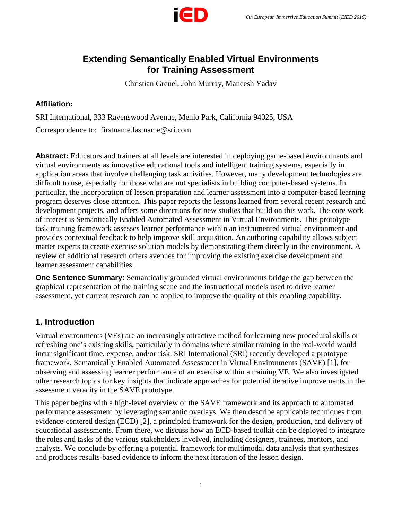

### **Extending Semantically Enabled Virtual Environments for Training Assessment**

Christian Greuel, John Murray, Maneesh Yadav

#### **Affiliation:**

SRI International, 333 Ravenswood Avenue, Menlo Park, California 94025, USA Correspondence to: firstname.lastname@sri.com

**Abstract:** Educators and trainers at all levels are interested in deploying game-based environments and virtual environments as innovative educational tools and intelligent training systems, especially in application areas that involve challenging task activities. However, many development technologies are difficult to use, especially for those who are not specialists in building computer-based systems. In particular, the incorporation of lesson preparation and learner assessment into a computer-based learning program deserves close attention. This paper reports the lessons learned from several recent research and development projects, and offers some directions for new studies that build on this work. The core work of interest is Semantically Enabled Automated Assessment in Virtual Environments. This prototype task-training framework assesses learner performance within an instrumented virtual environment and provides contextual feedback to help improve skill acquisition. An authoring capability allows subject matter experts to create exercise solution models by demonstrating them directly in the environment. A review of additional research offers avenues for improving the existing exercise development and learner assessment capabilities.

**One Sentence Summary:** Semantically grounded virtual environments bridge the gap between the graphical representation of the training scene and the instructional models used to drive learner assessment, yet current research can be applied to improve the quality of this enabling capability.

#### **1. Introduction**

Virtual environments (VEs) are an increasingly attractive method for learning new procedural skills or refreshing one's existing skills, particularly in domains where similar training in the real-world would incur significant time, expense, and/or risk. SRI International (SRI) recently developed a prototype framework, Semantically Enabled Automated Assessment in Virtual Environments (SAVE) [1], for observing and assessing learner performance of an exercise within a training VE. We also investigated other research topics for key insights that indicate approaches for potential iterative improvements in the assessment veracity in the SAVE prototype.

This paper begins with a high-level overview of the SAVE framework and its approach to automated performance assessment by leveraging semantic overlays. We then describe applicable techniques from evidence-centered design (ECD) [2], a principled framework for the design, production, and delivery of educational assessments. From there, we discuss how an ECD-based toolkit can be deployed to integrate the roles and tasks of the various stakeholders involved, including designers, trainees, mentors, and analysts. We conclude by offering a potential framework for multimodal data analysis that synthesizes and produces results-based evidence to inform the next iteration of the lesson design.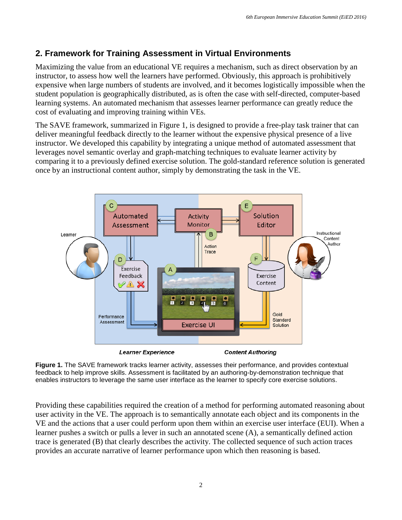### **2. Framework for Training Assessment in Virtual Environments**

Maximizing the value from an educational VE requires a mechanism, such as direct observation by an instructor, to assess how well the learners have performed. Obviously, this approach is prohibitively expensive when large numbers of students are involved, and it becomes logistically impossible when the student population is geographically distributed, as is often the case with self-directed, computer-based learning systems. An automated mechanism that assesses learner performance can greatly reduce the cost of evaluating and improving training within VEs.

The SAVE framework, summarized in Figure 1, is designed to provide a free-play task trainer that can deliver meaningful feedback directly to the learner without the expensive physical presence of a live instructor. We developed this capability by integrating a unique method of automated assessment that leverages novel semantic overlay and graph-matching techniques to evaluate learner activity by comparing it to a previously defined exercise solution. The gold-standard reference solution is generated once by an instructional content author, simply by demonstrating the task in the VE.



**Figure 1.** The SAVE framework tracks learner activity, assesses their performance, and provides contextual feedback to help improve skills. Assessment is facilitated by an authoring-by-demonstration technique that enables instructors to leverage the same user interface as the learner to specify core exercise solutions.

Providing these capabilities required the creation of a method for performing automated reasoning about user activity in the VE. The approach is to semantically annotate each object and its components in the VE and the actions that a user could perform upon them within an exercise user interface (EUI). When a learner pushes a switch or pulls a lever in such an annotated scene (A), a semantically defined action trace is generated (B) that clearly describes the activity. The collected sequence of such action traces provides an accurate narrative of learner performance upon which then reasoning is based.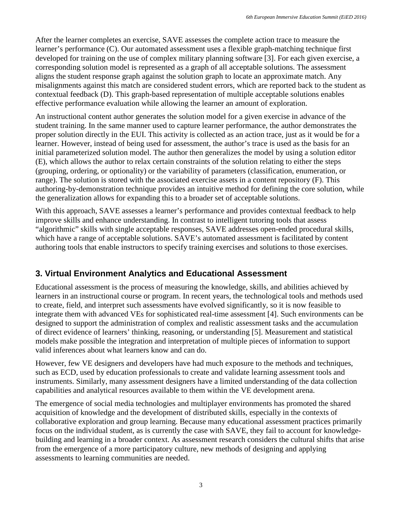After the learner completes an exercise, SAVE assesses the complete action trace to measure the learner's performance (C). Our automated assessment uses a flexible graph-matching technique first developed for training on the use of complex military planning software [3]. For each given exercise, a corresponding solution model is represented as a graph of all acceptable solutions. The assessment aligns the student response graph against the solution graph to locate an approximate match. Any misalignments against this match are considered student errors, which are reported back to the student as contextual feedback (D). This graph-based representation of multiple acceptable solutions enables effective performance evaluation while allowing the learner an amount of exploration.

An instructional content author generates the solution model for a given exercise in advance of the student training. In the same manner used to capture learner performance, the author demonstrates the proper solution directly in the EUI. This activity is collected as an action trace, just as it would be for a learner. However, instead of being used for assessment, the author's trace is used as the basis for an initial parameterized solution model. The author then generalizes the model by using a solution editor (E), which allows the author to relax certain constraints of the solution relating to either the steps (grouping, ordering, or optionality) or the variability of parameters (classification, enumeration, or range). The solution is stored with the associated exercise assets in a content repository (F). This authoring-by-demonstration technique provides an intuitive method for defining the core solution, while the generalization allows for expanding this to a broader set of acceptable solutions.

With this approach, SAVE assesses a learner's performance and provides contextual feedback to help improve skills and enhance understanding. In contrast to intelligent tutoring tools that assess "algorithmic" skills with single acceptable responses, SAVE addresses open-ended procedural skills, which have a range of acceptable solutions. SAVE's automated assessment is facilitated by content authoring tools that enable instructors to specify training exercises and solutions to those exercises.

### **3. Virtual Environment Analytics and Educational Assessment**

Educational assessment is the process of measuring the knowledge, skills, and abilities achieved by learners in an instructional course or program. In recent years, the technological tools and methods used to create, field, and interpret such assessments have evolved significantly, so it is now feasible to integrate them with advanced VEs for sophisticated real-time assessment [4]. Such environments can be designed to support the administration of complex and realistic assessment tasks and the accumulation of direct evidence of learners' thinking, reasoning, or understanding [5]. Measurement and statistical models make possible the integration and interpretation of multiple pieces of information to support valid inferences about what learners know and can do.

However, few VE designers and developers have had much exposure to the methods and techniques, such as ECD, used by education professionals to create and validate learning assessment tools and instruments. Similarly, many assessment designers have a limited understanding of the data collection capabilities and analytical resources available to them within the VE development arena.

The emergence of social media technologies and multiplayer environments has promoted the shared acquisition of knowledge and the development of distributed skills, especially in the contexts of collaborative exploration and group learning. Because many educational assessment practices primarily focus on the individual student, as is currently the case with SAVE, they fail to account for knowledgebuilding and learning in a broader context. As assessment research considers the cultural shifts that arise from the emergence of a more participatory culture, new methods of designing and applying assessments to learning communities are needed.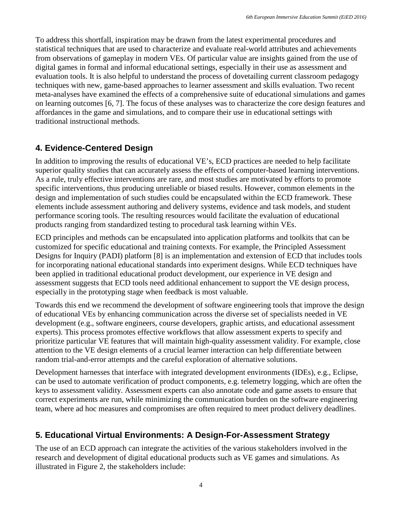To address this shortfall, inspiration may be drawn from the latest experimental procedures and statistical techniques that are used to characterize and evaluate real-world attributes and achievements from observations of gameplay in modern VEs. Of particular value are insights gained from the use of digital games in formal and informal educational settings, especially in their use as assessment and evaluation tools. It is also helpful to understand the process of dovetailing current classroom pedagogy techniques with new, game-based approaches to learner assessment and skills evaluation. Two recent meta-analyses have examined the effects of a comprehensive suite of educational simulations and games on learning outcomes [6, 7]. The focus of these analyses was to characterize the core design features and affordances in the game and simulations, and to compare their use in educational settings with traditional instructional methods.

#### **4. Evidence-Centered Design**

In addition to improving the results of educational VE's, ECD practices are needed to help facilitate superior quality studies that can accurately assess the effects of computer-based learning interventions. As a rule, truly effective interventions are rare, and most studies are motivated by efforts to promote specific interventions, thus producing unreliable or biased results. However, common elements in the design and implementation of such studies could be encapsulated within the ECD framework. These elements include assessment authoring and delivery systems, evidence and task models, and student performance scoring tools. The resulting resources would facilitate the evaluation of educational products ranging from standardized testing to procedural task learning within VEs.

ECD principles and methods can be encapsulated into application platforms and toolkits that can be customized for specific educational and training contexts. For example, the Principled Assessment Designs for Inquiry (PADI) platform [8] is an implementation and extension of ECD that includes tools for incorporating national educational standards into experiment designs. While ECD techniques have been applied in traditional educational product development, our experience in VE design and assessment suggests that ECD tools need additional enhancement to support the VE design process, especially in the prototyping stage when feedback is most valuable.

Towards this end we recommend the development of software engineering tools that improve the design of educational VEs by enhancing communication across the diverse set of specialists needed in VE development (e.g., software engineers, course developers, graphic artists, and educational assessment experts). This process promotes effective workflows that allow assessment experts to specify and prioritize particular VE features that will maintain high-quality assessment validity. For example, close attention to the VE design elements of a crucial learner interaction can help differentiate between random trial-and-error attempts and the careful exploration of alternative solutions.

Development harnesses that interface with integrated development environments (IDEs), e.g., Eclipse, can be used to automate verification of product components, e.g. telemetry logging, which are often the keys to assessment validity. Assessment experts can also annotate code and game assets to ensure that correct experiments are run, while minimizing the communication burden on the software engineering team, where ad hoc measures and compromises are often required to meet product delivery deadlines.

### **5. Educational Virtual Environments: A Design-For-Assessment Strategy**

The use of an ECD approach can integrate the activities of the various stakeholders involved in the research and development of digital educational products such as VE games and simulations. As illustrated in Figure 2, the stakeholders include: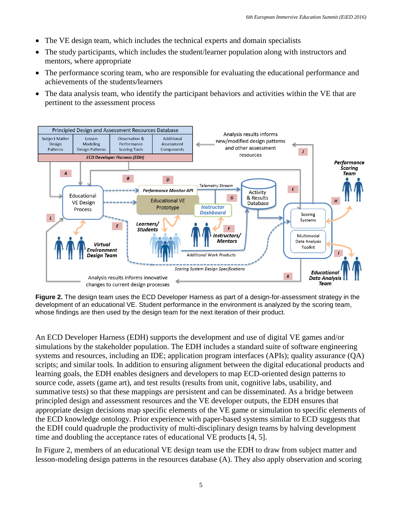- The VE design team, which includes the technical experts and domain specialists
- The study participants, which includes the student/learner population along with instructors and mentors, where appropriate
- The performance scoring team, who are responsible for evaluating the educational performance and achievements of the students/learners
- The data analysis team, who identify the participant behaviors and activities within the VE that are pertinent to the assessment process



**Figure 2.** The design team uses the ECD Developer Harness as part of a design-for-assessment strategy in the development of an educational VE. Student performance in the environment is analyzed by the scoring team, whose findings are then used by the design team for the next iteration of their product.

An ECD Developer Harness (EDH) supports the development and use of digital VE games and/or simulations by the stakeholder population. The EDH includes a standard suite of software engineering systems and resources, including an IDE; application program interfaces (APIs); quality assurance (QA) scripts; and similar tools. In addition to ensuring alignment between the digital educational products and learning goals, the EDH enables designers and developers to map ECD-oriented design patterns to source code, assets (game art), and test results (results from unit, cognitive labs, usability, and summative tests) so that these mappings are persistent and can be disseminated. As a bridge between principled design and assessment resources and the VE developer outputs, the EDH ensures that appropriate design decisions map specific elements of the VE game or simulation to specific elements of the ECD knowledge ontology. Prior experience with paper-based systems similar to ECD suggests that the EDH could quadruple the productivity of multi-disciplinary design teams by halving development time and doubling the acceptance rates of educational VE products [4, 5].

In Figure 2, members of an educational VE design team use the EDH to draw from subject matter and lesson-modeling design patterns in the resources database (A). They also apply observation and scoring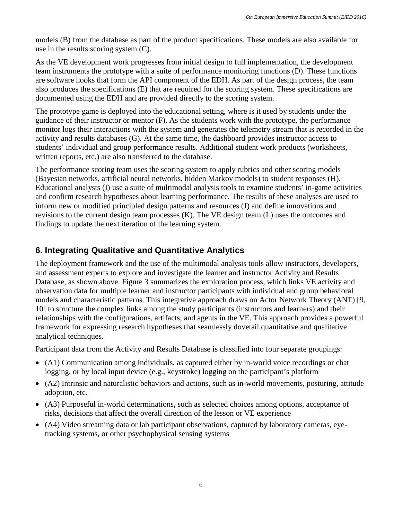models (B) from the database as part of the product specifications. These models are also available for use in the results scoring system (C).

As the VE development work progresses from initial design to full implementation, the development team instruments the prototype with a suite of performance monitoring functions (D). These functions are software hooks that form the API component of the EDH. As part of the design process, the team also produces the specifications (E) that are required for the scoring system. These specifications are documented using the EDH and are provided directly to the scoring system.

The prototype game is deployed into the educational setting, where is it used by students under the guidance of their instructor or mentor (F). As the students work with the prototype, the performance monitor logs their interactions with the system and generates the telemetry stream that is recorded in the activity and results databases (G). At the same time, the dashboard provides instructor access to students' individual and group performance results. Additional student work products (worksheets, written reports, etc.) are also transferred to the database.

The performance scoring team uses the scoring system to apply rubrics and other scoring models (Bayesian networks, artificial neural networks, hidden Markov models) to student responses (H). Educational analysts (I) use a suite of multimodal analysis tools to examine students' in-game activities and confirm research hypotheses about learning performance. The results of these analyses are used to inform new or modified principled design patterns and resources (J) and define innovations and revisions to the current design team processes (K). The VE design team (L) uses the outcomes and findings to update the next iteration of the learning system.

### **6. Integrating Qualitative and Quantitative Analytics**

The deployment framework and the use of the multimodal analysis tools allow instructors, developers, and assessment experts to explore and investigate the learner and instructor Activity and Results Database, as shown above. Figure 3 summarizes the exploration process, which links VE activity and observation data for multiple learner and instructor participants with individual and group behavioral models and characteristic patterns. This integrative approach draws on Actor Network Theory (ANT) [9, 10] to structure the complex links among the study participants (instructors and learners) and their relationships with the configurations, artifacts, and agents in the VE. This approach provides a powerful framework for expressing research hypotheses that seamlessly dovetail quantitative and qualitative analytical techniques.

Participant data from the Activity and Results Database is classified into four separate groupings:

- (A1) Communication among individuals, as captured either by in-world voice recordings or chat logging, or by local input device (e.g., keystroke) logging on the participant's platform
- (A2) Intrinsic and naturalistic behaviors and actions, such as in-world movements, posturing, attitude adoption, etc.
- (A3) Purposeful in-world determinations, such as selected choices among options, acceptance of risks, decisions that affect the overall direction of the lesson or VE experience
- (A4) Video streaming data or lab participant observations, captured by laboratory cameras, eyetracking systems, or other psychophysical sensing systems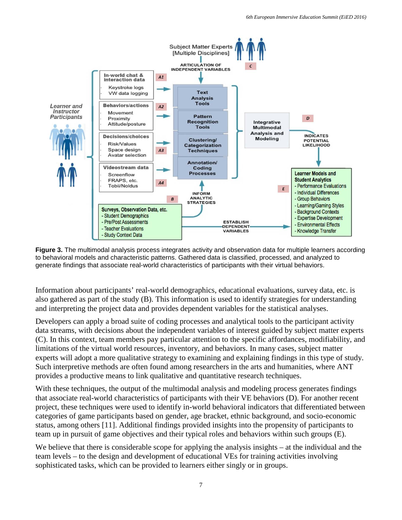

**Figure 3.** The multimodal analysis process integrates activity and observation data for multiple learners according to behavioral models and characteristic patterns. Gathered data is classified, processed, and analyzed to generate findings that associate real-world characteristics of participants with their virtual behaviors.

Information about participants' real-world demographics, educational evaluations, survey data, etc. is also gathered as part of the study (B). This information is used to identify strategies for understanding and interpreting the project data and provides dependent variables for the statistical analyses.

Developers can apply a broad suite of coding processes and analytical tools to the participant activity data streams, with decisions about the independent variables of interest guided by subject matter experts (C). In this context, team members pay particular attention to the specific affordances, modifiability, and limitations of the virtual world resources, inventory, and behaviors. In many cases, subject matter experts will adopt a more qualitative strategy to examining and explaining findings in this type of study. Such interpretive methods are often found among researchers in the arts and humanities, where ANT provides a productive means to link qualitative and quantitative research techniques.

With these techniques, the output of the multimodal analysis and modeling process generates findings that associate real-world characteristics of participants with their VE behaviors (D). For another recent project, these techniques were used to identify in-world behavioral indicators that differentiated between categories of game participants based on gender, age bracket, ethnic background, and socio-economic status, among others [11]. Additional findings provided insights into the propensity of participants to team up in pursuit of game objectives and their typical roles and behaviors within such groups (E).

We believe that there is considerable scope for applying the analysis insights – at the individual and the team levels – to the design and development of educational VEs for training activities involving sophisticated tasks, which can be provided to learners either singly or in groups.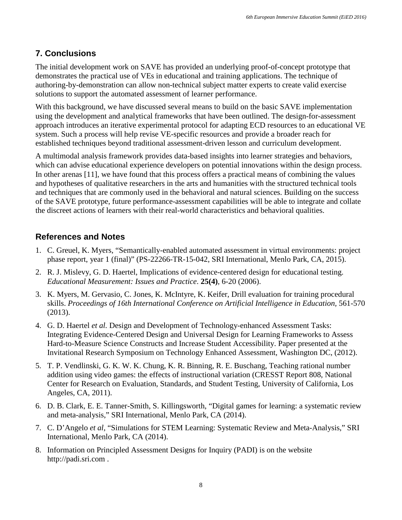# **7. Conclusions**

The initial development work on SAVE has provided an underlying proof-of-concept prototype that demonstrates the practical use of VEs in educational and training applications. The technique of authoring-by-demonstration can allow non-technical subject matter experts to create valid exercise solutions to support the automated assessment of learner performance.

With this background, we have discussed several means to build on the basic SAVE implementation using the development and analytical frameworks that have been outlined. The design-for-assessment approach introduces an iterative experimental protocol for adapting ECD resources to an educational VE system. Such a process will help revise VE-specific resources and provide a broader reach for established techniques beyond traditional assessment-driven lesson and curriculum development.

A multimodal analysis framework provides data-based insights into learner strategies and behaviors, which can advise educational experience developers on potential innovations within the design process. In other arenas [11], we have found that this process offers a practical means of combining the values and hypotheses of qualitative researchers in the arts and humanities with the structured technical tools and techniques that are commonly used in the behavioral and natural sciences. Building on the success of the SAVE prototype, future performance-assessment capabilities will be able to integrate and collate the discreet actions of learners with their real-world characteristics and behavioral qualities.

## **References and Notes**

- 1. C. Greuel, K. Myers, "Semantically-enabled automated assessment in virtual environments: project phase report, year 1 (final)" (PS-22266-TR-15-042, SRI International, Menlo Park, CA, 2015).
- 2. R. J. Mislevy, G. D. Haertel, Implications of evidence-centered design for educational testing. *Educational Measurement: Issues and Practice*. **25(4)**, 6-20 (2006).
- 3. K. Myers, M. Gervasio, C. Jones, K. McIntyre, K. Keifer, Drill evaluation for training procedural skills. *Proceedings of 16th International Conference on Artificial Intelligence in Education,* 561-570 (2013).
- 4. G. D. Haertel *et al.* Design and Development of Technology-enhanced Assessment Tasks: Integrating Evidence-Centered Design and Universal Design for Learning Frameworks to Assess Hard-to-Measure Science Constructs and Increase Student Accessibility. Paper presented at the Invitational Research Symposium on Technology Enhanced Assessment, Washington DC, (2012).
- 5. T. P. Vendlinski, G. K. W. K. Chung, K. R. Binning, R. E. Buschang, Teaching rational number addition using video games: the effects of instructional variation (CRESST Report 808, National Center for Research on Evaluation, Standards, and Student Testing, University of California, Los Angeles, CA, 2011).
- 6. D. B. Clark, E. E. Tanner-Smith, S. Killingsworth, "Digital games for learning: a systematic review and meta-analysis," SRI International, Menlo Park, CA (2014).
- 7. C. D'Angelo *et al*, "Simulations for STEM Learning: Systematic Review and Meta-Analysis," SRI International, Menlo Park, CA (2014).
- 8. Information on Principled Assessment Designs for Inquiry (PADI) is on the website http://padi.sri.com .